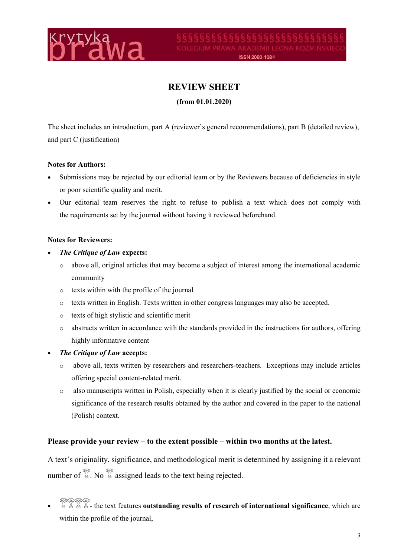

# **REVIEW SHEET**

**(from 01.01.2020)** 

The sheet includes an introduction, part A (reviewer's general recommendations), part B (detailed review), and part C (justification)

#### **Notes for Authors:**

- Submissions may be rejected by our editorial team or by the Reviewers because of deficiencies in style or poor scientific quality and merit.
- Our editorial team reserves the right to refuse to publish a text which does not comply with the requirements set by the journal without having it reviewed beforehand.

#### **Notes for Reviewers:**

- *The Critique of Law* **expects:**
	- o above all, original articles that may become a subject of interest among the international academic community
	- o texts within with the profile of the journal
	- o texts written in English. Texts written in other congress languages may also be accepted.
	- o texts of high stylistic and scientific merit
	- o abstracts written in accordance with the standards provided in the instructions for authors, offering highly informative content
- *The Critique of Law* **accepts:**
	- o above all, texts written by researchers and researchers-teachers. Exceptions may include articles offering special content-related merit.
	- o also manuscripts written in Polish, especially when it is clearly justified by the social or economic significance of the research results obtained by the author and covered in the paper to the national (Polish) context.

### **Please provide your review – to the extent possible – within two months at the latest.**

A text's originality, significance, and methodological merit is determined by assigning it a relevant number of  $\mathbb{Z}$ . No  $\mathbb{Z}$  assigned leads to the text being rejected.

**E**  $\frac{1}{2}$   $\frac{1}{2}$   $\frac{1}{2}$   $\frac{1}{2}$  - the text features **outstanding results of research of international significance, which are** within the profile of the journal,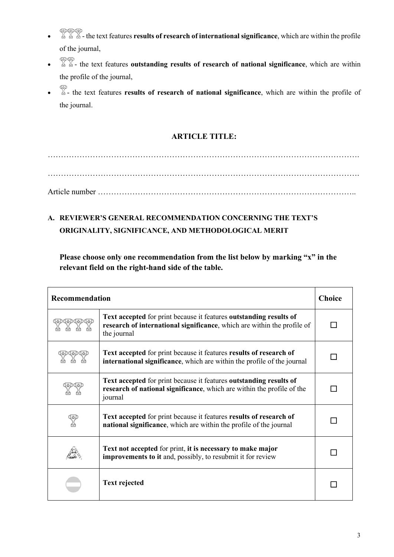- - the text features **results of research of international significance**, which are within the profile of the journal,
- **EVED** the text features **outstanding results of research of national significance**, which are within the profile of the journal,
- - the text features **results of research of national significance**, which are within the profile of the journal.

## **ARTICLE TITLE:**

………………………………………………………………………………………………………. ………………………………………………………………………………………………………. Article number ……………………………………………………………………………………..

# **A. REVIEWER'S GENERAL RECOMMENDATION CONCERNING THE TEXT'S ORIGINALITY, SIGNIFICANCE, AND METHODOLOGICAL MERIT**

**Please choose only one recommendation from the list below by marking "x" in the relevant field on the right-hand side of the table.**

| Recommendation |                                                                                                                                                              | <b>Choice</b> |
|----------------|--------------------------------------------------------------------------------------------------------------------------------------------------------------|---------------|
|                | Text accepted for print because it features outstanding results of<br>research of international significance, which are within the profile of<br>the journal |               |
|                | Text accepted for print because it features results of research of<br>international significance, which are within the profile of the journal                |               |
|                | Text accepted for print because it features outstanding results of<br>research of national significance, which are within the profile of the<br>journal      |               |
|                | Text accepted for print because it features results of research of<br>national significance, which are within the profile of the journal                     |               |
|                | Text not accepted for print, it is necessary to make major<br><b>improvements to it and, possibly, to resubmit it for review</b>                             |               |
|                | <b>Text rejected</b>                                                                                                                                         |               |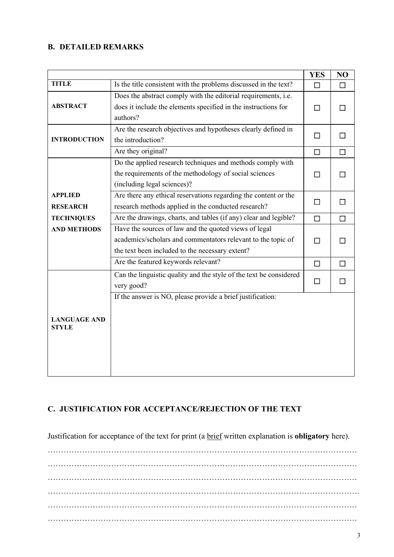#### **B. DETAILED REMARKS**

|                     |                                                                    | <b>YES</b> | NO     |
|---------------------|--------------------------------------------------------------------|------------|--------|
| <b>TITLE</b>        | Is the title consistent with the problems discussed in the text?   | $\Box$     | $\Box$ |
|                     | Does the abstract comply with the editorial requirements, i.e.     |            |        |
| <b>ABSTRACT</b>     | does it include the elements specified in the instructions for     | $\Box$     | l 1    |
|                     | authors?                                                           |            |        |
|                     | Are the research objectives and hypotheses clearly defined in      | $\Box$     | П      |
| <b>INTRODUCTION</b> | the introduction?                                                  |            |        |
|                     | Are they original?                                                 | $\Box$     | $\Box$ |
|                     | Do the applied research techniques and methods comply with         |            |        |
|                     | the requirements of the methodology of social sciences             | $\Box$     | П      |
|                     | (including legal sciences)?                                        |            |        |
| <b>APPLIED</b>      | Are there any ethical reservations regarding the content or the    |            |        |
| <b>RESEARCH</b>     | research methods applied in the conducted research?                | $\Box$     | П      |
| <b>TECHNIQUES</b>   | Are the drawings, charts, and tables (if any) clear and legible?   | $\Box$     | $\Box$ |
| <b>AND METHODS</b>  | Have the sources of law and the quoted views of legal              |            |        |
|                     | academics/scholars and commentators relevant to the topic of       | П          |        |
|                     | the text been included to the necessary extent?                    |            |        |
|                     | Are the featured keywords relevant?                                | $\Box$     | $\Box$ |
|                     | Can the linguistic quality and the style of the text be considered | $\Box$     | П      |
|                     | very good?                                                         |            |        |
|                     | If the answer is NO, please provide a brief justification:         |            |        |
|                     |                                                                    |            |        |
| <b>LANGUAGE AND</b> |                                                                    |            |        |
| <b>STYLE</b>        |                                                                    |            |        |
|                     |                                                                    |            |        |
|                     |                                                                    |            |        |
|                     |                                                                    |            |        |
|                     |                                                                    |            |        |

## **C. JUSTIFICATION FOR ACCEPTANCE/REJECTION OF THE TEXT**

Justification for acceptance of the text for print (a brief written explanation is **obligatory** here).

……………………………………………………………………………………………………… ……………………………………………………………………………………………………… ……………………………………………………………………………………………………… ………………………………………………………………………………………………………. ……………………………………………………………………………………………………… ………………………………………………………………………………………………………